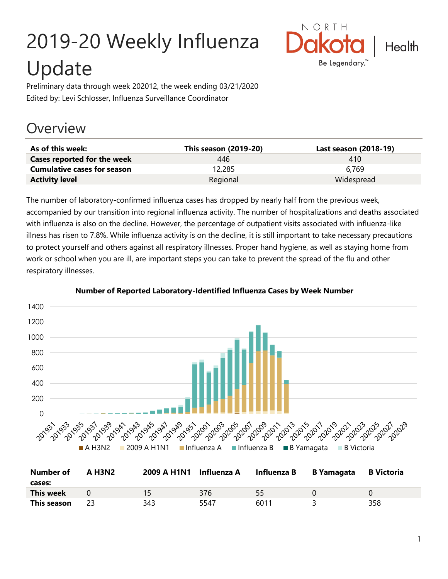# 2019-20 Weekly Influenza Update



Preliminary data through week 202012, the week ending 03/21/2020 Edited by: Levi Schlosser, Influenza Surveillance Coordinator

# **Overview**

| As of this week:                   | <b>This season (2019-20)</b> | Last season (2018-19) |
|------------------------------------|------------------------------|-----------------------|
| Cases reported for the week        | 446                          | 410                   |
| <b>Cumulative cases for season</b> | 12,285                       | 6.769                 |
| <b>Activity level</b>              | Regional                     | Widespread            |

The number of laboratory-confirmed influenza cases has dropped by nearly half from the previous week, accompanied by our transition into regional influenza activity. The number of hospitalizations and deaths associated with influenza is also on the decline. However, the percentage of outpatient visits associated with influenza-like illness has risen to 7.8%. While influenza activity is on the decline, it is still important to take necessary precautions to protect yourself and others against all respiratory illnesses. Proper hand hygiene, as well as staying home from work or school when you are ill, are important steps you can take to prevent the spread of the flu and other respiratory illnesses.



#### **Number of Reported Laboratory-Identified Influenza Cases by Week Number**

| <b>Number of</b> | <b>A H3N2</b> | 2009 A H1N1 Influenza A |      | Influenza B | B Yamagata | B Victoria |
|------------------|---------------|-------------------------|------|-------------|------------|------------|
| cases:           |               |                         |      |             |            |            |
| This week        |               |                         | 376  | 55          |            |            |
| This season      |               | 343                     | 5547 | 6011        |            | 358        |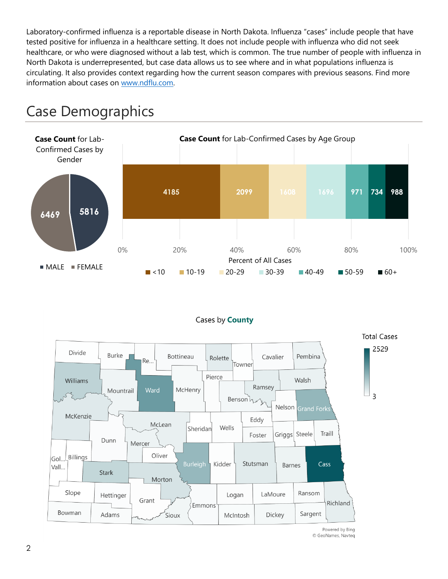Laboratory-confirmed influenza is a reportable disease in North Dakota. Influenza "cases" include people that have tested positive for influenza in a healthcare setting. It does not include people with influenza who did not seek healthcare, or who were diagnosed without a lab test, which is common. The true number of people with influenza in North Dakota is underrepresented, but case data allows us to see where and in what populations influenza is circulating. It also provides context regarding how the current season compares with previous seasons. Find more information about cases on [www.ndflu.com.](file://///nd.gov/doh/DOH-DATA/MSS/DC/PROGRAM/IMMUNE/Immunize/Influenza/Inf18-19/Surveillance/Weekly%20Summaries/www.ndflu.com)







Powered by Bing © GeoNames, Navteq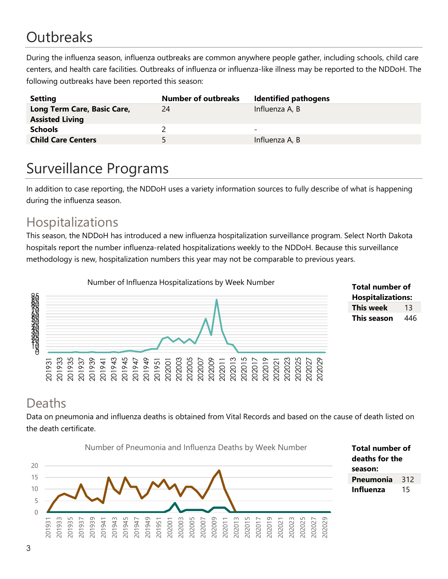# **Outbreaks**

During the influenza season, influenza outbreaks are common anywhere people gather, including schools, child care centers, and health care facilities. Outbreaks of influenza or influenza-like illness may be reported to the NDDoH. The following outbreaks have been reported this season:

| <b>Setting</b>                                        | <b>Number of outbreaks</b> | <b>Identified pathogens</b> |
|-------------------------------------------------------|----------------------------|-----------------------------|
| Long Term Care, Basic Care,<br><b>Assisted Living</b> | 24                         | Influenza A, B              |
| <b>Schools</b>                                        |                            | -                           |
| <b>Child Care Centers</b>                             | 5.                         | Influenza A, B              |

# Surveillance Programs

In addition to case reporting, the NDDoH uses a variety information sources to fully describe of what is happening during the influenza season.

#### Hospitalizations

This season, the NDDoH has introduced a new influenza hospitalization surveillance program. Select North Dakota hospitals report the number influenza-related hospitalizations weekly to the NDDoH. Because this surveillance methodology is new, hospitalization numbers this year may not be comparable to previous years.



**Total number of Hospitalizations: This week** 13 **This season** 446

#### Deaths

Data on pneumonia and influenza deaths is obtained from Vital Records and based on the cause of death listed on the death certificate.

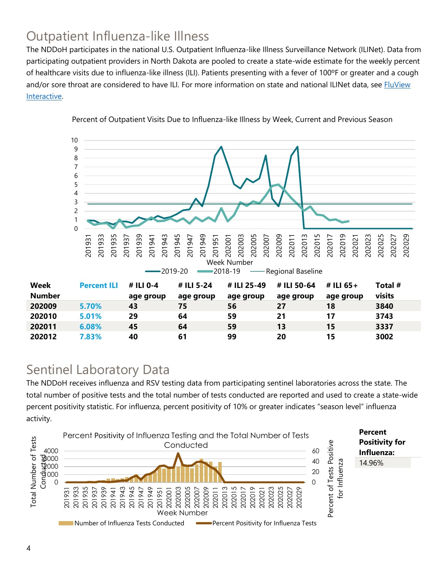## Outpatient Influenza-like Illness

The NDDoH participates in the national U.S. Outpatient Influenza-like Illness Surveillance Network (ILINet). Data from participating outpatient providers in North Dakota are pooled to create a state-wide estimate for the weekly percent of healthcare visits due to influenza-like illness (ILI). Patients presenting with a fever of 100ºF or greater and a cough and/or sore throat are considered to have ILI. For more information on state and national ILINet data, see **FluView** [Interactive.](https://gis.cdc.gov/grasp/fluview/fluportaldashboard.html)



Percent of Outpatient Visits Due to Influenza-like Illness by Week, Current and Previous Season

#### Sentinel Laboratory Data

The NDDoH receives influenza and RSV testing data from participating sentinel laboratories across the state. The total number of positive tests and the total number of tests conducted are reported and used to create a state-wide percent positivity statistic. For influenza, percent positivity of 10% or greater indicates "season level" influenza activity.

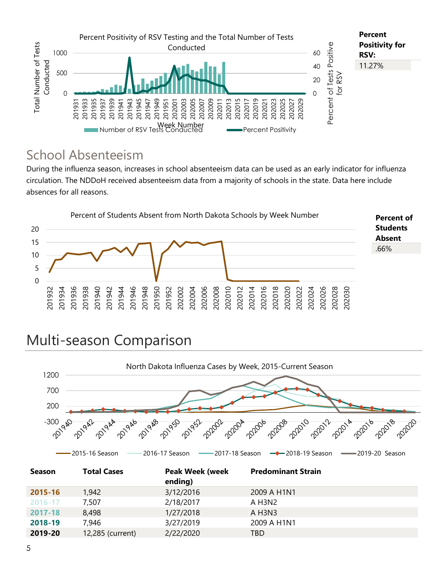

#### School Absenteeism

During the influenza season, increases in school absenteeism data can be used as an early indicator for influenza circulation. The NDDoH received absenteeism data from a majority of schools in the state. Data here include absences for all reasons.



# Multi-season Comparison